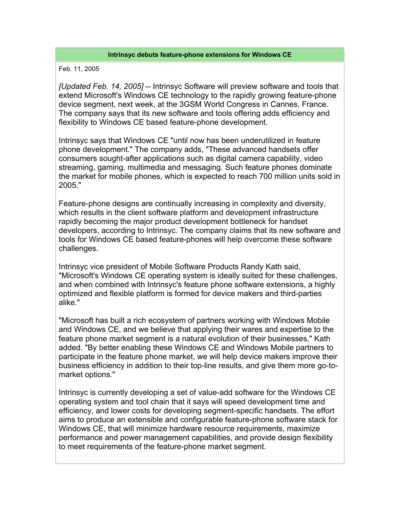## **Intrinsyc debuts feature-phone extensions for Windows CE**

## Feb. 11, 2005

*[Updated Feb. 14, 2005]* -- Intrinsyc Software will preview software and tools that extend Microsoft's Windows CE technology to the rapidly growing feature-phone device segment, next week, at the 3GSM World Congress in Cannes, France. The company says that its new software and tools offering adds efficiency and flexibility to Windows CE based feature-phone development.

Intrinsyc says that Windows CE "until now has been underutilized in feature phone development." The company adds, "These advanced handsets offer consumers sought-after applications such as digital camera capability, video streaming, gaming, multimedia and messaging. Such feature phones dominate the market for mobile phones, which is expected to reach 700 million units sold in 2005."

Feature-phone designs are continually increasing in complexity and diversity, which results in the client software platform and development infrastructure rapidly becoming the major product development bottleneck for handset developers, according to Intrinsyc. The company claims that its new software and tools for Windows CE based feature-phones will help overcome these software challenges.

Intrinsyc vice president of Mobile Software Products Randy Kath said, "Microsoft's Windows CE operating system is ideally suited for these challenges, and when combined with Intrinsyc's feature phone software extensions, a highly optimized and flexible platform is formed for device makers and third-parties alike."

"Microsoft has built a rich ecosystem of partners working with Windows Mobile and Windows CE, and we believe that applying their wares and expertise to the feature phone market segment is a natural evolution of their businesses," Kath added. "By better enabling these Windows CE and Windows Mobile partners to participate in the feature phone market, we will help device makers improve their business efficiency in addition to their top-line results, and give them more go-tomarket options."

Intrinsyc is currently developing a set of value-add software for the Windows CE operating system and tool chain that it says will speed development time and efficiency, and lower costs for developing segment-specific handsets. The effort aims to produce an extensible and configurable feature-phone software stack for Windows CE, that will minimize hardware resource requirements, maximize performance and power management capabilities, and provide design flexibility to meet requirements of the feature-phone market segment.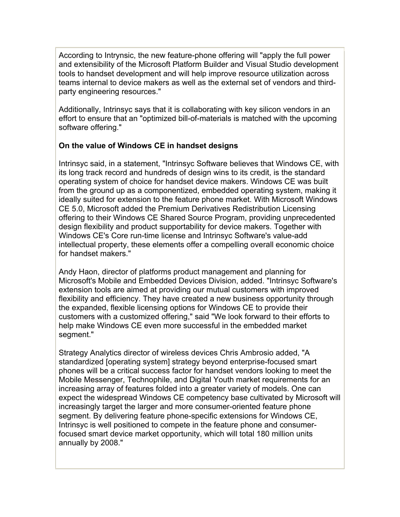According to Intrynsic, the new feature-phone offering will "apply the full power and extensibility of the Microsoft Platform Builder and Visual Studio development tools to handset development and will help improve resource utilization across teams internal to device makers as well as the external set of vendors and thirdparty engineering resources."

Additionally, Intrinsyc says that it is collaborating with key silicon vendors in an effort to ensure that an "optimized bill-of-materials is matched with the upcoming software offering."

## **On the value of Windows CE in handset designs**

Intrinsyc said, in a statement, "Intrinsyc Software believes that Windows CE, with its long track record and hundreds of design wins to its credit, is the standard operating system of choice for handset device makers. Windows CE was built from the ground up as a componentized, embedded operating system, making it ideally suited for extension to the feature phone market. With Microsoft Windows CE 5.0, Microsoft added the Premium Derivatives Redistribution Licensing offering to their Windows CE Shared Source Program, providing unprecedented design flexibility and product supportability for device makers. Together with Windows CE's Core run-time license and Intrinsyc Software's value-add intellectual property, these elements offer a compelling overall economic choice for handset makers."

Andy Haon, director of platforms product management and planning for Microsoft's Mobile and Embedded Devices Division, added. "Intrinsyc Software's extension tools are aimed at providing our mutual customers with improved flexibility and efficiency. They have created a new business opportunity through the expanded, flexible licensing options for Windows CE to provide their customers with a customized offering," said "We look forward to their efforts to help make Windows CE even more successful in the embedded market segment."

Strategy Analytics director of wireless devices Chris Ambrosio added, "A standardized [operating system] strategy beyond enterprise-focused smart phones will be a critical success factor for handset vendors looking to meet the Mobile Messenger, Technophile, and Digital Youth market requirements for an increasing array of features folded into a greater variety of models. One can expect the widespread Windows CE competency base cultivated by Microsoft will increasingly target the larger and more consumer-oriented feature phone segment. By delivering feature phone-specific extensions for Windows CE, Intrinsyc is well positioned to compete in the feature phone and consumerfocused smart device market opportunity, which will total 180 million units annually by 2008."